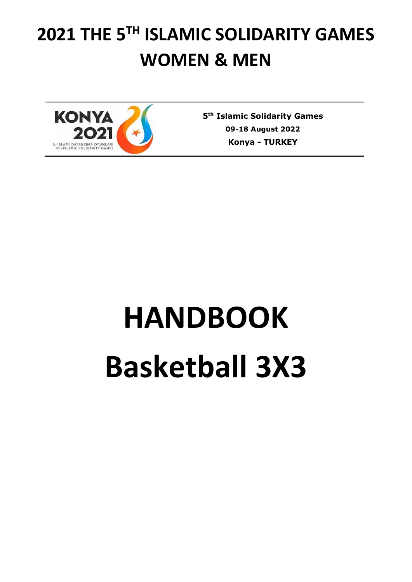# **2021 THE 5TH ISLAMIC SOLIDARITY GAMES WOMEN & MEN**



**5 th Islamic Solidarity Games 09-18 August 2022 Konya - TURKEY**

# **HANDBOOK Basketball 3X3**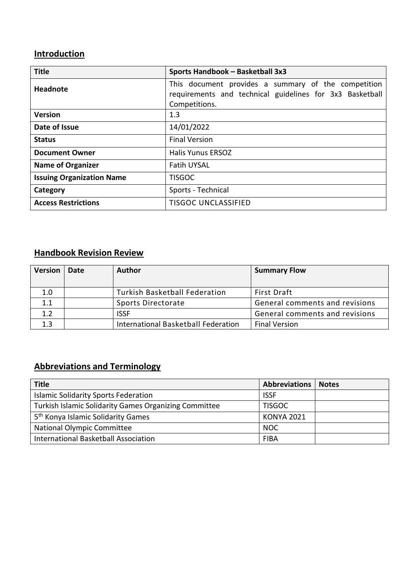# **Introduction**

| <b>Title</b>                     | Sports Handbook - Basketball 3x3                         |
|----------------------------------|----------------------------------------------------------|
| <b>Headnote</b>                  | This document provides a summary of the competition      |
|                                  | requirements and technical guidelines for 3x3 Basketball |
|                                  | Competitions.                                            |
| <b>Version</b>                   | 1.3                                                      |
| Date of Issue                    | 14/01/2022                                               |
| <b>Status</b>                    | <b>Final Version</b>                                     |
| <b>Document Owner</b>            | <b>Halis Yunus ERSOZ</b>                                 |
| <b>Name of Organizer</b>         | <b>Fatih UYSAL</b>                                       |
| <b>Issuing Organization Name</b> | <b>TISGOC</b>                                            |
| Category                         | Sports - Technical                                       |
| <b>Access Restrictions</b>       | <b>TISGOC UNCLASSIFIED</b>                               |

### **Handbook Revision Review**

| <b>Version</b>   | Date | <b>Author</b>                        | <b>Summary Flow</b>            |
|------------------|------|--------------------------------------|--------------------------------|
| 1.0              |      | <b>Turkish Basketball Federation</b> | <b>First Draft</b>             |
| 1.1              |      | Sports Directorate                   | General comments and revisions |
| 1.2 <sub>2</sub> |      | <b>ISSF</b>                          | General comments and revisions |
| $1.3\,$          |      | International Basketball Federation  | <b>Final Version</b>           |

# **Abbreviations and Terminology**

| <b>Title</b>                                          | Abbreviations     | <b>Notes</b> |
|-------------------------------------------------------|-------------------|--------------|
| <b>Islamic Solidarity Sports Federation</b>           | <b>ISSF</b>       |              |
| Turkish Islamic Solidarity Games Organizing Committee | <b>TISGOC</b>     |              |
| 5 <sup>th</sup> Konya Islamic Solidarity Games        | <b>KONYA 2021</b> |              |
| <b>National Olympic Committee</b>                     | <b>NOC</b>        |              |
| International Basketball Association                  | <b>FIBA</b>       |              |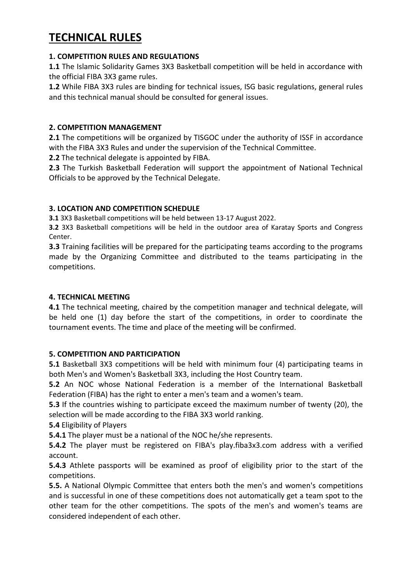# **TECHNICAL RULES**

#### **1. COMPETITION RULES AND REGULATIONS**

**1.1** The Islamic Solidarity Games 3X3 Basketball competition will be held in accordance with the official FIBA 3X3 game rules.

**1.2** While FIBA 3X3 rules are binding for technical issues, ISG basic regulations, general rules and this technical manual should be consulted for general issues.

#### **2. COMPETITION MANAGEMENT**

**2.1** The competitions will be organized by TISGOC under the authority of ISSF in accordance with the FIBA 3X3 Rules and under the supervision of the Technical Committee.

**2.2** The technical delegate is appointed by FIBA.

**2.3** The Turkish Basketball Federation will support the appointment of National Technical Officials to be approved by the Technical Delegate.

#### **3. LOCATION AND COMPETITION SCHEDULE**

**3.1** 3X3 Basketball competitions will be held between 13-17 August 2022.

**3.2** 3X3 Basketball competitions will be held in the outdoor area of Karatay Sports and Congress Center.

**3.3** Training facilities will be prepared for the participating teams according to the programs made by the Organizing Committee and distributed to the teams participating in the competitions.

#### **4. TECHNICAL MEETING**

**4.1** The technical meeting, chaired by the competition manager and technical delegate, will be held one (1) day before the start of the competitions, in order to coordinate the tournament events. The time and place of the meeting will be confirmed.

#### **5. COMPETITION AND PARTICIPATION**

**5.1** Basketball 3X3 competitions will be held with minimum four (4) participating teams in both Men's and Women's Basketball 3X3, including the Host Country team.

**5.2** An NOC whose National Federation is a member of the International Basketball Federation (FIBA) has the right to enter a men's team and a women's team.

**5.3** If the countries wishing to participate exceed the maximum number of twenty (20), the selection will be made according to the FIBA 3X3 world ranking.

**5.4** Eligibility of Players

**5.4.1** The player must be a national of the NOC he/she represents.

**5.4.2** The player must be registered on FIBA's play.fiba3x3.com address with a verified account.

**5.4.3** Athlete passports will be examined as proof of eligibility prior to the start of the competitions.

**5.5.** A National Olympic Committee that enters both the men's and women's competitions and is successful in one of these competitions does not automatically get a team spot to the other team for the other competitions. The spots of the men's and women's teams are considered independent of each other.